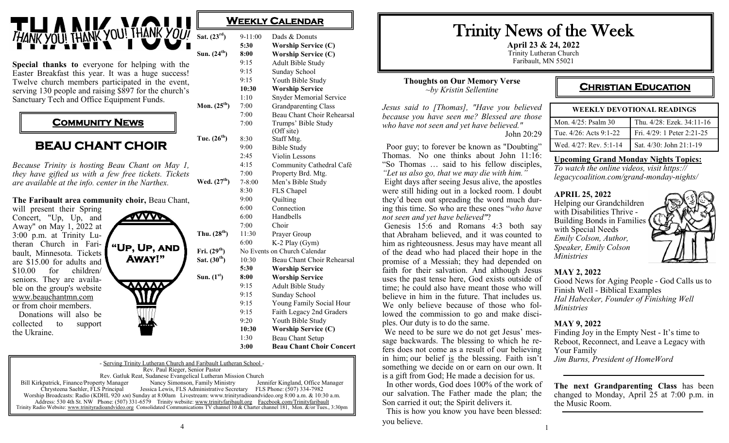

**Special thanks to** everyone for helping with the Easter Breakfast this year. It was a huge success! Twelve church members participated in the event, serving 130 people and raising \$897 for the church's Sanctuary Tech and Office Equipment Funds.

# **COMMUNITY NEWS**

# **BEAU CHANT CHOIR**

*Because Trinity is hosting Beau Chant on May 1, they have gifted us with a few free tickets. Tickets are available at the info. center in the Narthex.*

#### **The Faribault area community choir,** Beau Chant,

will present their Spring Concert, "Up, Up, and Away" on May 1, 2022 at 3:00 p.m. at Trinity Lutheran Church in Faribault, Minnesota. Tickets are \$15.00 for adults and \$10.00 for children/ seniors. They are available on the group's website [www.beauchantmn.com](http://www.beauchantmn.com) or from choir members. Donations will also be collected to support the Ukraine.



| Sat. $(23^{rd})$ | 9-11:00                      | Dads & Donuts                  |
|------------------|------------------------------|--------------------------------|
|                  | 5:30                         | <b>Worship Service (C)</b>     |
| Sun. $(24^{th})$ | 8:00                         | <b>Worship Service (C)</b>     |
|                  | 9:15                         | Adult Bible Study              |
|                  | 9:15                         | Sunday School                  |
|                  | 9:15                         | Youth Bible Study              |
|                  | 10:30                        | <b>Worship Service</b>         |
|                  | 1:10                         | <b>Snyder Memorial Service</b> |
| Mon. $(25^{th})$ | 7:00                         | <b>Grandparenting Class</b>    |
|                  | 7:00                         | Beau Chant Choir Rehearsal     |
|                  | 7:00                         | Trumps' Bible Study            |
|                  |                              | (Off site)                     |
| Tue. $(26^{th})$ | 8:30                         | Staff Mtg.                     |
|                  | 9:00                         | <b>Bible Study</b>             |
|                  | 2:45                         | Violin Lessons                 |
|                  | 4:15                         | Community Cathedral Café       |
|                  | 7:00                         | Property Brd. Mtg.             |
| Wed. $(27^{th})$ | $7 - 8:00$                   | Men's Bible Study              |
|                  | 8:30                         | FLS Chapel                     |
|                  | 9:00                         | Quilting                       |
|                  | 6:00                         | Connection                     |
|                  | 6:00                         | Handbells                      |
|                  | 7:00                         | Choir                          |
| Thu. $(28^{th})$ | 11:30                        | Prayer Group                   |
|                  | 6:00                         | K-2 Play (Gym)                 |
| Fri. $(29^{th})$ | No Events on Church Calendar |                                |
| Sat. $(30th)$    | 10:30                        | Beau Chant Choir Rehearsal     |
|                  | 5:30                         | <b>Worship Service</b>         |
| Sun. $(1st)$     | 8:00                         | <b>Worship Service</b>         |
|                  | 9:15                         | Adult Bible Study              |
|                  | 9:15                         | Sunday School                  |
|                  | 9:15                         | Young Family Social Hour       |
|                  | 9:15                         | Faith Legacy 2nd Graders       |
|                  | 9:20                         | Youth Bible Study              |
|                  | 10:30                        | <b>Worship Service (C)</b>     |
|                  | 1:30                         | Beau Chant Setup               |

**WEEKLY CALENDAR** 

**3:00 Beau Chant Choir Concert**

- Serving Trinity Lutheran Church and Faribault Lutheran School - Rev. Paul Rieger, Senior Pastor Rev. Gatluk Reat, Sudanese Evangelical Lutheran Mission Church<br>
rty Manager Manager Nancy Simonson, Family Ministry Jennifer Kingland, Office Manager Bill Kirkpatrick, Finance/Property Manager<br>Chrysteena Saehler, FLS Principal Jessica Lewis, FLS Administrative Secretary FLS Phone: (507) 334-7982 Worship Broadcasts: Radio (KDHL 920 AM) Sunday at 8:00am Livestream: www.trinityradioandvideo.org 8:00 a.m. & 10:30 a.m. Address: 530 4th St. NW Phone: (507) 331-6579 Trinity website: www.trinityfaribault.org Facebook.com/Trinityfaribault Trinity Radio Website: www.trinityradioandvideo.org Consolidated Communications TV channel 10 & Charter channel 181, Mon. &/or Tues., 3:30pm **April 23 & 24, 2022** Trinity Lutheran Church Faribault, MN 55021

#### **Thoughts on Our Memory Verse** *~by Kristin Sellentine*

*Jesus said to [Thomas], "Have you believed because you have seen me? Blessed are those who have not seen and yet have believed."* John 20:29

 Poor guy; to forever be known as "Doubting" Thomas. No one thinks about John 11:16: "So Thomas … said to his fellow disciples, *"Let us also go, that we may die with him."* Eight days after seeing Jesus alive, the apostles were still hiding out in a locked room. I doubt they'd been out spreading the word much during this time. So who are these ones "*who have not seen and yet have believed"*?

Genesis 15:6 and Romans 4:3 both say that Abraham believed, and it was counted to him as righteousness. Jesus may have meant all of the dead who had placed their hope in the promise of a Messiah; they had depended on faith for their salvation. And although Jesus uses the past tense here, God exists outside of time; he could also have meant those who will believe in him in the future. That includes us. We only believe because of those who followed the commission to go and make disciples. Our duty is to do the same.

We need to be sure we do not get Jesus' message backwards. The blessing to which he refers does not come as a result of our believing in him; our belief is the blessing. Faith isn't something we decide on or earn on our own. It is a gift from God; He made a decision for us.

 In other words, God does 100% of the work of our salvation. The Father made the plan; the Son carried it out; the Spirit delivers it.

 This is how you know you have been blessed: you believe.

# **CHRISTIAN EDUCATION**

| <b>WEEKLY DEVOTIONAL READINGS</b> |                            |  |
|-----------------------------------|----------------------------|--|
| Mon. $4/25$ : Psalm 30            | Thu. 4/28: Ezek. 34:11-16  |  |
| Tue. $4/26$ : Acts $9:1-22$       | Fri. 4/29: 1 Peter 2:21-25 |  |
| Wed. 4/27: Rev. 5:1-14            | Sat. 4/30: John 21:1-19    |  |

#### **Upcoming Grand Monday Nights Topics:**

*To watch the online videos, visit https:// legacycoalition.com/grand-monday-nights/*

#### **APRIL 25, 2022**

Helping our Grandchildren with Disabilities Thrive - Building Bonds in Families with Special Needs *Emily Colson, Author, Speaker, Emily Colson Ministries*



### **MAY 2, 2022**

Good News for Aging People - God Calls us to Finish Well - Biblical Examples *Hal Habecker, Founder of Finishing Well Ministries*

#### **MAY 9, 2022**

Finding Joy in the Empty Nest - It's time to Reboot, Reconnect, and Leave a Legacy with Your Family *Jim Burns, President of HomeWord*

**The next Grandparenting Class** has been changed to Monday, April 25 at 7:00 p.m. in the Music Room.